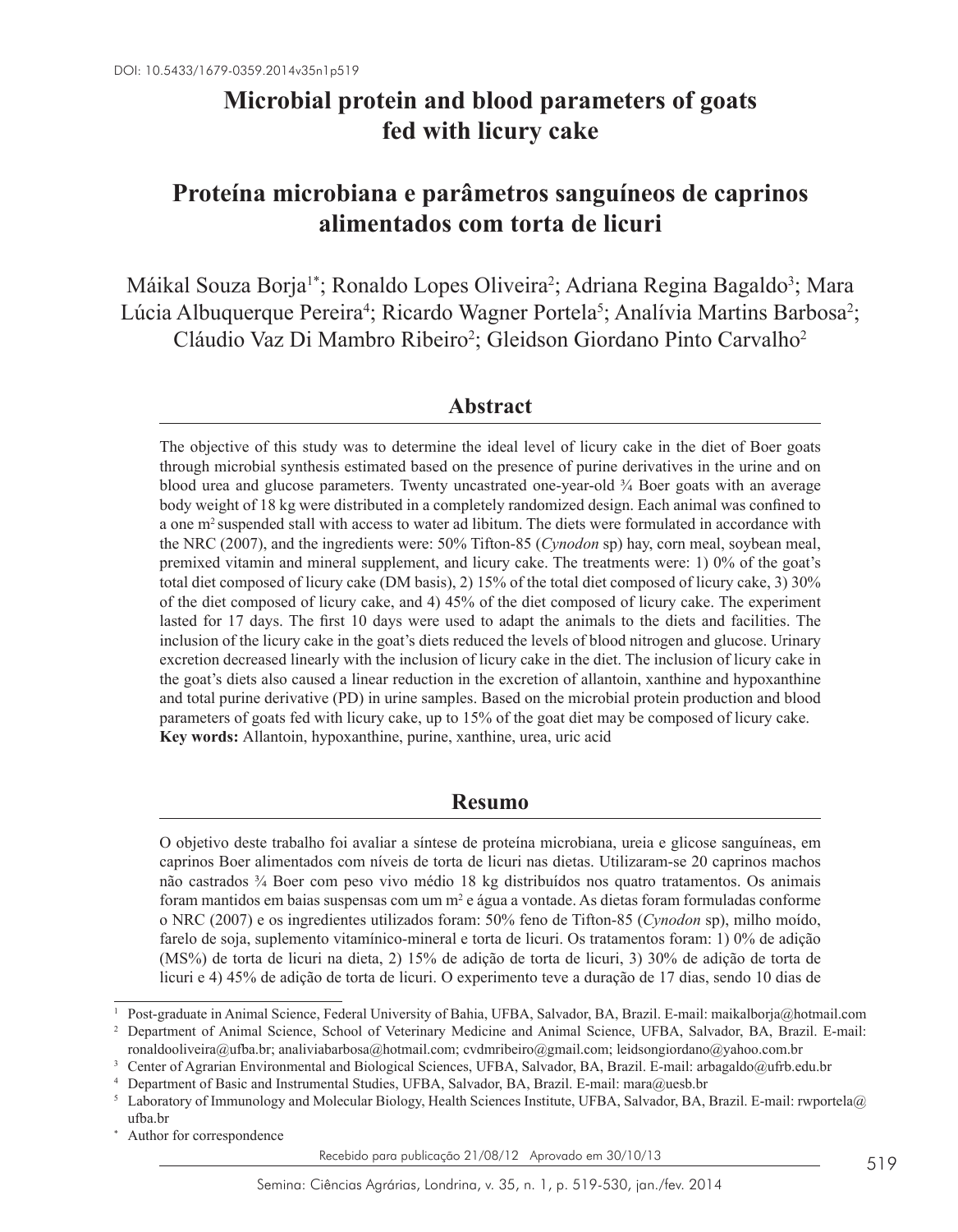# **Microbial protein and blood parameters of goats fed with licury cake**

# **Proteína microbiana e parâmetros sanguíneos de caprinos alimentados com torta de licuri**

Máikal Souza Borja<sup>1\*</sup>; Ronaldo Lopes Oliveira<sup>2</sup>; Adriana Regina Bagaldo<sup>3</sup>; Mara Lúcia Albuquerque Pereira<sup>4</sup>; Ricardo Wagner Portela<sup>5</sup>; Analívia Martins Barbosa<sup>2</sup>; Cláudio Vaz Di Mambro Ribeiro<sup>2</sup>; Gleidson Giordano Pinto Carvalho<sup>2</sup>

## **Abstract**

The objective of this study was to determine the ideal level of licury cake in the diet of Boer goats through microbial synthesis estimated based on the presence of purine derivatives in the urine and on blood urea and glucose parameters. Twenty uncastrated one-year-old ¾ Boer goats with an average body weight of 18 kg were distributed in a completely randomized design. Each animal was confined to a one m<sup>2</sup> suspended stall with access to water ad libitum. The diets were formulated in accordance with the NRC (2007), and the ingredients were: 50% Tifton-85 (*Cynodon* sp) hay, corn meal, soybean meal, premixed vitamin and mineral supplement, and licury cake. The treatments were: 1) 0% of the goat's total diet composed of licury cake (DM basis), 2) 15% of the total diet composed of licury cake, 3) 30% of the diet composed of licury cake, and 4) 45% of the diet composed of licury cake. The experiment lasted for 17 days. The first 10 days were used to adapt the animals to the diets and facilities. The inclusion of the licury cake in the goat's diets reduced the levels of blood nitrogen and glucose. Urinary excretion decreased linearly with the inclusion of licury cake in the diet. The inclusion of licury cake in the goat's diets also caused a linear reduction in the excretion of allantoin, xanthine and hypoxanthine and total purine derivative (PD) in urine samples. Based on the microbial protein production and blood parameters of goats fed with licury cake, up to 15% of the goat diet may be composed of licury cake. **Key words:** Allantoin, hypoxanthine, purine, xanthine, urea, uric acid

## **Resumo**

O objetivo deste trabalho foi avaliar a síntese de proteína microbiana, ureia e glicose sanguíneas, em caprinos Boer alimentados com níveis de torta de licuri nas dietas. Utilizaram-se 20 caprinos machos não castrados ¾ Boer com peso vivo médio 18 kg distribuídos nos quatro tratamentos. Os animais foram mantidos em baias suspensas com um  $m^2$  e água a vontade. As dietas foram formuladas conforme o NRC (2007) e os ingredientes utilizados foram: 50% feno de Tifton-85 (*Cynodon* sp), milho moído, farelo de soja, suplemento vitamínico-mineral e torta de licuri. Os tratamentos foram: 1) 0% de adição (MS%) de torta de licuri na dieta, 2) 15% de adição de torta de licuri, 3) 30% de adição de torta de licuri e 4) 45% de adição de torta de licuri. O experimento teve a duração de 17 dias, sendo 10 dias de

Author for correspondence

Recebido para publicação 21/08/12 Aprovado em 30/10/13

<sup>1</sup> Post-graduate in Animal Science, Federal University of Bahia, UFBA, Salvador, BA, Brazil. E-mail: maikalborja@hotmail.com <sup>2</sup> Department of Animal Science, School of Veterinary Medicine and Animal Science, UFBA, Salvador, BA, Brazil. E-mail:

ronaldooliveira@ufba.br; analiviabarbosa@hotmail.com; cvdmribeiro@gmail.com; leidsongiordano@yahoo.com.br

<sup>3</sup> Center of Agrarian Environmental and Biological Sciences, UFBA, Salvador, BA, Brazil. E-mail: arbagaldo@ufrb.edu.br

<sup>4</sup> Department of Basic and Instrumental Studies, UFBA, Salvador, BA, Brazil. E-mail: mara@uesb.br

<sup>5</sup> Laboratory of Immunology and Molecular Biology, Health Sciences Institute, UFBA, Salvador, BA, Brazil. E-mail: rwportela@ ufba.br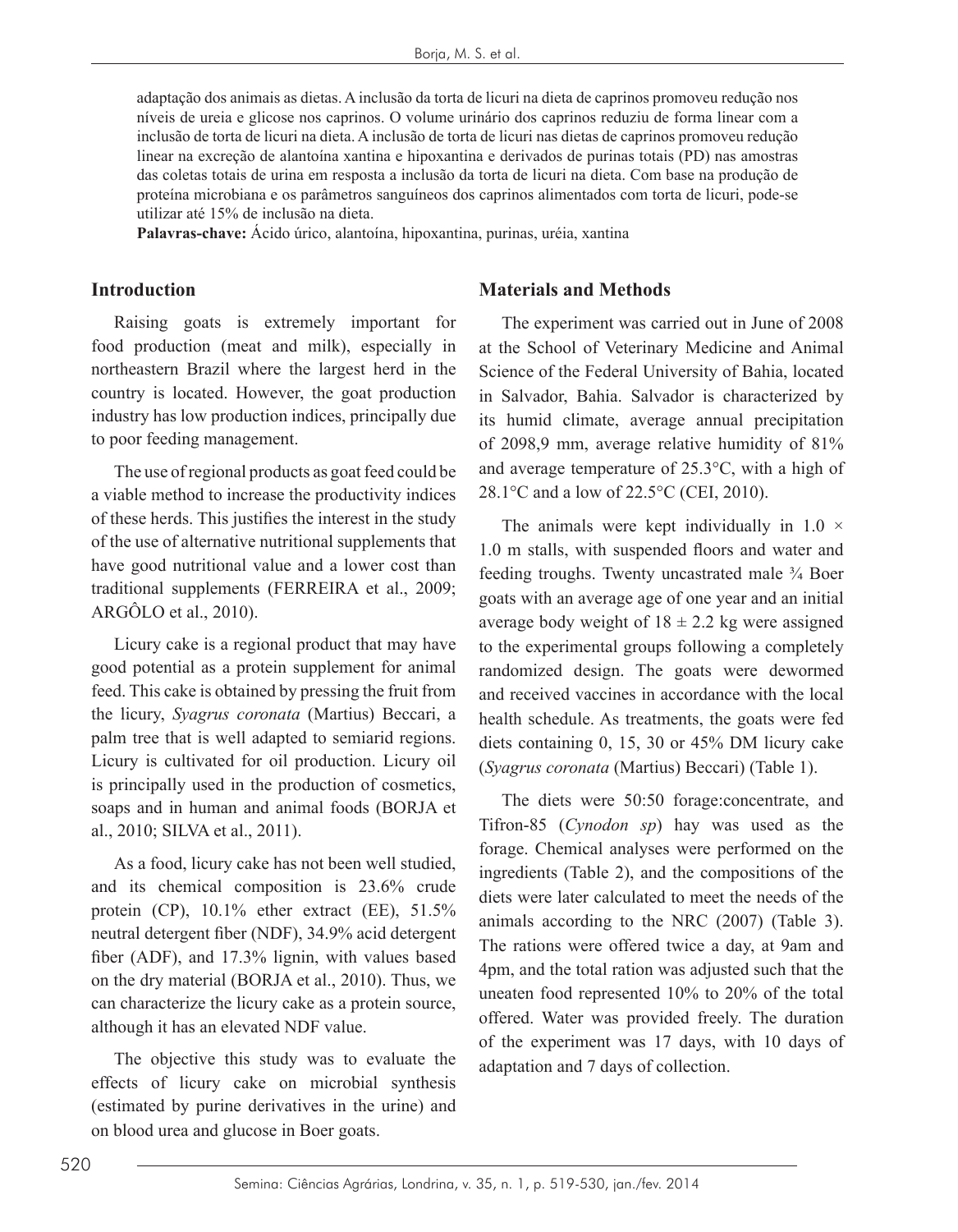adaptação dos animais as dietas. A inclusão da torta de licuri na dieta de caprinos promoveu redução nos níveis de ureia e glicose nos caprinos. O volume urinário dos caprinos reduziu de forma linear com a inclusão de torta de licuri na dieta. A inclusão de torta de licuri nas dietas de caprinos promoveu redução linear na excreção de alantoína xantina e hipoxantina e derivados de purinas totais (PD) nas amostras das coletas totais de urina em resposta a inclusão da torta de licuri na dieta. Com base na produção de proteína microbiana e os parâmetros sanguíneos dos caprinos alimentados com torta de licuri, pode-se utilizar até 15% de inclusão na dieta.

**Palavras-chave:** Ácido úrico, alantoína, hipoxantina, purinas, uréia, xantina

#### **Introduction**

Raising goats is extremely important for food production (meat and milk), especially in northeastern Brazil where the largest herd in the country is located. However, the goat production industry has low production indices, principally due to poor feeding management.

The use of regional products as goat feed could be a viable method to increase the productivity indices of these herds. This justifies the interest in the study of the use of alternative nutritional supplements that have good nutritional value and a lower cost than traditional supplements (FERREIRA et al., 2009; ARGÔLO et al., 2010).

Licury cake is a regional product that may have good potential as a protein supplement for animal feed. This cake is obtained by pressing the fruit from the licury, *Syagrus coronata* (Martius) Beccari, a palm tree that is well adapted to semiarid regions. Licury is cultivated for oil production. Licury oil is principally used in the production of cosmetics, soaps and in human and animal foods (BORJA et al., 2010; SILVA et al., 2011).

As a food, licury cake has not been well studied, and its chemical composition is 23.6% crude protein (CP), 10.1% ether extract (EE), 51.5% neutral detergent fiber (NDF), 34.9% acid detergent fiber (ADF), and 17.3% lignin, with values based on the dry material (BORJA et al., 2010). Thus, we can characterize the licury cake as a protein source, although it has an elevated NDF value.

The objective this study was to evaluate the effects of licury cake on microbial synthesis (estimated by purine derivatives in the urine) and on blood urea and glucose in Boer goats.

### **Materials and Methods**

The experiment was carried out in June of 2008 at the School of Veterinary Medicine and Animal Science of the Federal University of Bahia, located in Salvador, Bahia. Salvador is characterized by its humid climate, average annual precipitation of 2098,9 mm, average relative humidity of 81% and average temperature of 25.3°C, with a high of 28.1°C and a low of 22.5°C (CEI, 2010).

The animals were kept individually in  $1.0 \times$ 1.0 m stalls, with suspended floors and water and feeding troughs. Twenty uncastrated male ¾ Boer goats with an average age of one year and an initial average body weight of  $18 \pm 2.2$  kg were assigned to the experimental groups following a completely randomized design. The goats were dewormed and received vaccines in accordance with the local health schedule. As treatments, the goats were fed diets containing 0, 15, 30 or 45% DM licury cake (*Syagrus coronata* (Martius) Beccari) (Table 1).

The diets were 50:50 forage:concentrate, and Tifron-85 (*Cynodon sp*) hay was used as the forage. Chemical analyses were performed on the ingredients (Table 2), and the compositions of the diets were later calculated to meet the needs of the animals according to the NRC (2007) (Table 3). The rations were offered twice a day, at 9am and 4pm, and the total ration was adjusted such that the uneaten food represented 10% to 20% of the total offered. Water was provided freely. The duration of the experiment was 17 days, with 10 days of adaptation and 7 days of collection.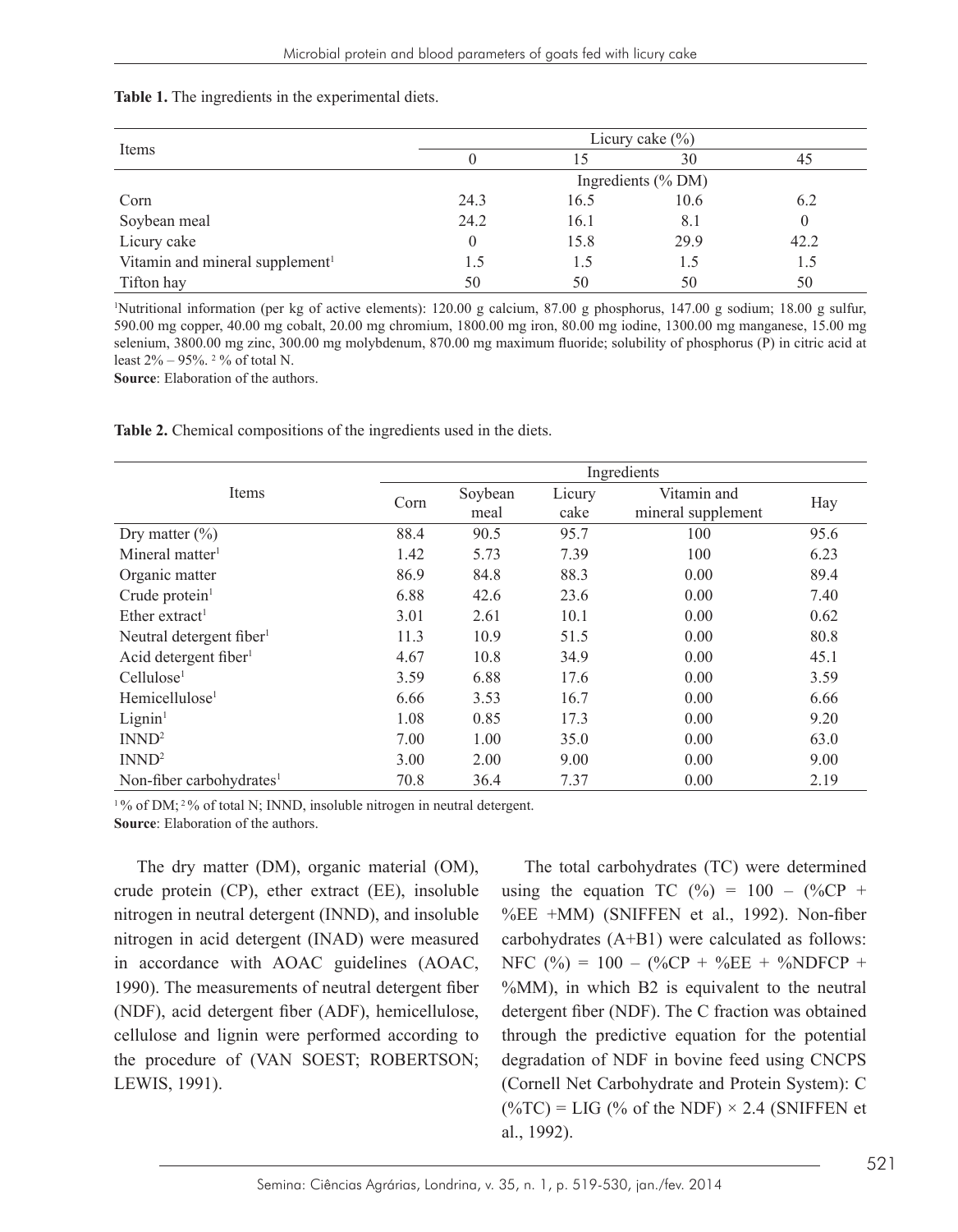| Table 1. The ingredients in the experimental diets. |  |  |  |  |
|-----------------------------------------------------|--|--|--|--|
|-----------------------------------------------------|--|--|--|--|

|                                             | Licury cake $(\% )$ |                    |      |      |  |
|---------------------------------------------|---------------------|--------------------|------|------|--|
| Items                                       |                     |                    | 30   | 45   |  |
|                                             |                     | Ingredients (% DM) |      |      |  |
| Corn                                        | 24.3                | 16.5               | 10.6 | 6.2  |  |
| Soybean meal                                | 24.2                | 16.1               | 8.1  | 0    |  |
| Licury cake                                 |                     | 15.8               | 29.9 | 42.2 |  |
| Vitamin and mineral supplement <sup>1</sup> | 1.5                 | 1.5                | L.5  | 1.5  |  |
| Tifton hay                                  | 50                  | 50                 | 50   | 50   |  |

1 Nutritional information (per kg of active elements): 120.00 g calcium, 87.00 g phosphorus, 147.00 g sodium; 18.00 g sulfur, 590.00 mg copper, 40.00 mg cobalt, 20.00 mg chromium, 1800.00 mg iron, 80.00 mg iodine, 1300.00 mg manganese, 15.00 mg selenium, 3800.00 mg zinc, 300.00 mg molybdenum, 870.00 mg maximum fluoride; solubility of phosphorus (P) in citric acid at least  $2\% - 95\%$ . <sup>2</sup> % of total N.

**Source**: Elaboration of the authors.

**Table 2.** Chemical compositions of the ingredients used in the diets.

|                                      | Ingredients |                 |                |                                   |      |  |
|--------------------------------------|-------------|-----------------|----------------|-----------------------------------|------|--|
| Items                                | Corn        | Soybean<br>meal | Licury<br>cake | Vitamin and<br>mineral supplement | Hay  |  |
| Dry matter $(\% )$                   | 88.4        | 90.5            | 95.7           | 100                               | 95.6 |  |
| Mineral matter <sup>1</sup>          | 1.42        | 5.73            | 7.39           | 100                               | 6.23 |  |
| Organic matter                       | 86.9        | 84.8            | 88.3           | 0.00                              | 89.4 |  |
| Crude protein $1$                    | 6.88        | 42.6            | 23.6           | 0.00                              | 7.40 |  |
| Ether extract <sup>1</sup>           | 3.01        | 2.61            | 10.1           | 0.00                              | 0.62 |  |
| Neutral detergent fiber <sup>1</sup> | 11.3        | 10.9            | 51.5           | 0.00                              | 80.8 |  |
| Acid detergent fiber <sup>1</sup>    | 4.67        | 10.8            | 34.9           | 0.00                              | 45.1 |  |
| Cellulose <sup>1</sup>               | 3.59        | 6.88            | 17.6           | 0.00                              | 3.59 |  |
| Hemicellulose <sup>1</sup>           | 6.66        | 3.53            | 16.7           | 0.00                              | 6.66 |  |
| Lignin <sup>1</sup>                  | 1.08        | 0.85            | 17.3           | 0.00                              | 9.20 |  |
| INND <sup>2</sup>                    | 7.00        | 1.00            | 35.0           | 0.00                              | 63.0 |  |
| INND <sup>2</sup>                    | 3.00        | 2.00            | 9.00           | 0.00                              | 9.00 |  |
| Non-fiber carbohydrates <sup>1</sup> | 70.8        | 36.4            | 7.37           | 0.00                              | 2.19 |  |

 $1\%$  of DM;  $2\%$  of total N; INND, insoluble nitrogen in neutral detergent. **Source**: Elaboration of the authors.

The dry matter (DM), organic material (OM), crude protein (CP), ether extract (EE), insoluble nitrogen in neutral detergent (INND), and insoluble nitrogen in acid detergent (INAD) were measured in accordance with AOAC guidelines (AOAC, 1990). The measurements of neutral detergent fiber (NDF), acid detergent fiber (ADF), hemicellulose, cellulose and lignin were performed according to the procedure of (VAN SOEST; ROBERTSON; LEWIS, 1991).

The total carbohydrates (TC) were determined using the equation TC  $(\% ) = 100 - (\% \text{CP} +$ %EE +MM) (SNIFFEN et al., 1992). Non-fiber carbohydrates (A+B1) were calculated as follows: NFC (%) = 100 – (%CP + %EE + %NDFCP + %MM), in which B2 is equivalent to the neutral detergent fiber (NDF). The C fraction was obtained through the predictive equation for the potential degradation of NDF in bovine feed using CNCPS (Cornell Net Carbohydrate and Protein System): C  $(\% TC) = LIG (\% of the NDF) \times 2.4$  (SNIFFEN et al., 1992).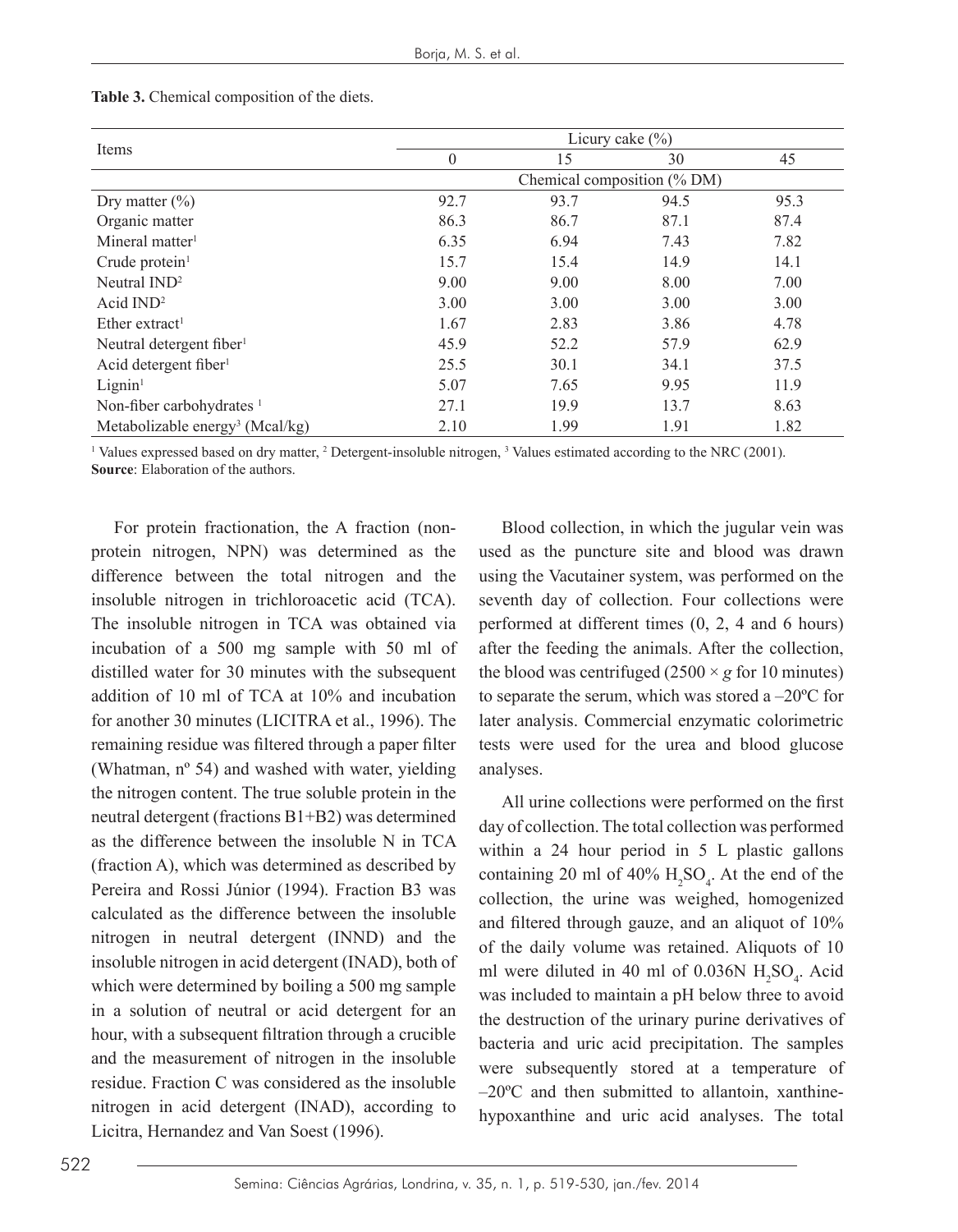|                                             | Licury cake $(\% )$         |      |      |      |
|---------------------------------------------|-----------------------------|------|------|------|
| Items                                       | $\theta$                    | 15   | 30   | 45   |
|                                             | Chemical composition (% DM) |      |      |      |
| Dry matter $(\% )$                          | 92.7                        | 93.7 | 94.5 | 95.3 |
| Organic matter                              | 86.3                        | 86.7 | 87.1 | 87.4 |
| Mineral matter <sup>1</sup>                 | 6.35                        | 6.94 | 7.43 | 7.82 |
| Crude protein $1$                           | 15.7                        | 15.4 | 14.9 | 14.1 |
| Neutral $IND2$                              | 9.00                        | 9.00 | 8.00 | 7.00 |
| Acid $IND2$                                 | 3.00                        | 3.00 | 3.00 | 3.00 |
| Ether extract <sup>1</sup>                  | 1.67                        | 2.83 | 3.86 | 4.78 |
| Neutral detergent fiber <sup>1</sup>        | 45.9                        | 52.2 | 57.9 | 62.9 |
| Acid detergent fiber <sup>1</sup>           | 25.5                        | 30.1 | 34.1 | 37.5 |
| Lignin <sup>1</sup>                         | 5.07                        | 7.65 | 9.95 | 11.9 |
| Non-fiber carbohydrates <sup>1</sup>        | 27.1                        | 19.9 | 13.7 | 8.63 |
| Metabolizable energy <sup>3</sup> (Mcal/kg) | 2.10                        | 1.99 | 1.91 | 1.82 |

#### **Table 3.** Chemical composition of the diets.

<sup>1</sup> Values expressed based on dry matter,  $\frac{1}{2}$  Detergent-insoluble nitrogen,  $\frac{1}{2}$  Values estimated according to the NRC (2001). **Source:** Elaboration of the authors.

For protein fractionation, the A fraction (nonprotein nitrogen, NPN) was determined as the difference between the total nitrogen and the insoluble nitrogen in trichloroacetic acid (TCA). The insoluble nitrogen in TCA was obtained via incubation of a 500 mg sample with 50 ml of distilled water for 30 minutes with the subsequent addition of 10 ml of TCA at 10% and incubation for another 30 minutes (LICITRA et al., 1996). The remaining residue was filtered through a paper filter (Whatman, nº 54) and washed with water, yielding the nitrogen content. The true soluble protein in the neutral detergent (fractions B1+B2) was determined as the difference between the insoluble N in TCA (fraction A), which was determined as described by Pereira and Rossi Júnior (1994). Fraction B3 was calculated as the difference between the insoluble nitrogen in neutral detergent (INND) and the insoluble nitrogen in acid detergent (INAD), both of which were determined by boiling a 500 mg sample in a solution of neutral or acid detergent for an hour, with a subsequent filtration through a crucible and the measurement of nitrogen in the insoluble residue. Fraction C was considered as the insoluble nitrogen in acid detergent (INAD), according to Licitra, Hernandez and Van Soest (1996).

Blood collection, in which the jugular vein was used as the puncture site and blood was drawn using the Vacutainer system, was performed on the seventh day of collection. Four collections were performed at different times (0, 2, 4 and 6 hours) after the feeding the animals. After the collection, the blood was centrifuged  $(2500 \times g$  for 10 minutes) to separate the serum, which was stored a –20ºC for later analysis. Commercial enzymatic colorimetric tests were used for the urea and blood glucose analyses.

All urine collections were performed on the first day of collection. The total collection was performed within a 24 hour period in 5 L plastic gallons containing 20 ml of  $40\%$   $H_2SO_4$ . At the end of the collection, the urine was weighed, homogenized and filtered through gauze, and an aliquot of 10% of the daily volume was retained. Aliquots of 10 ml were diluted in 40 ml of  $0.036N H_2SO_4$ . Acid was included to maintain a pH below three to avoid the destruction of the urinary purine derivatives of bacteria and uric acid precipitation. The samples were subsequently stored at a temperature of  $-20^{\circ}$ C and then submitted to allantoin, xanthinehypoxanthine and uric acid analyses. The total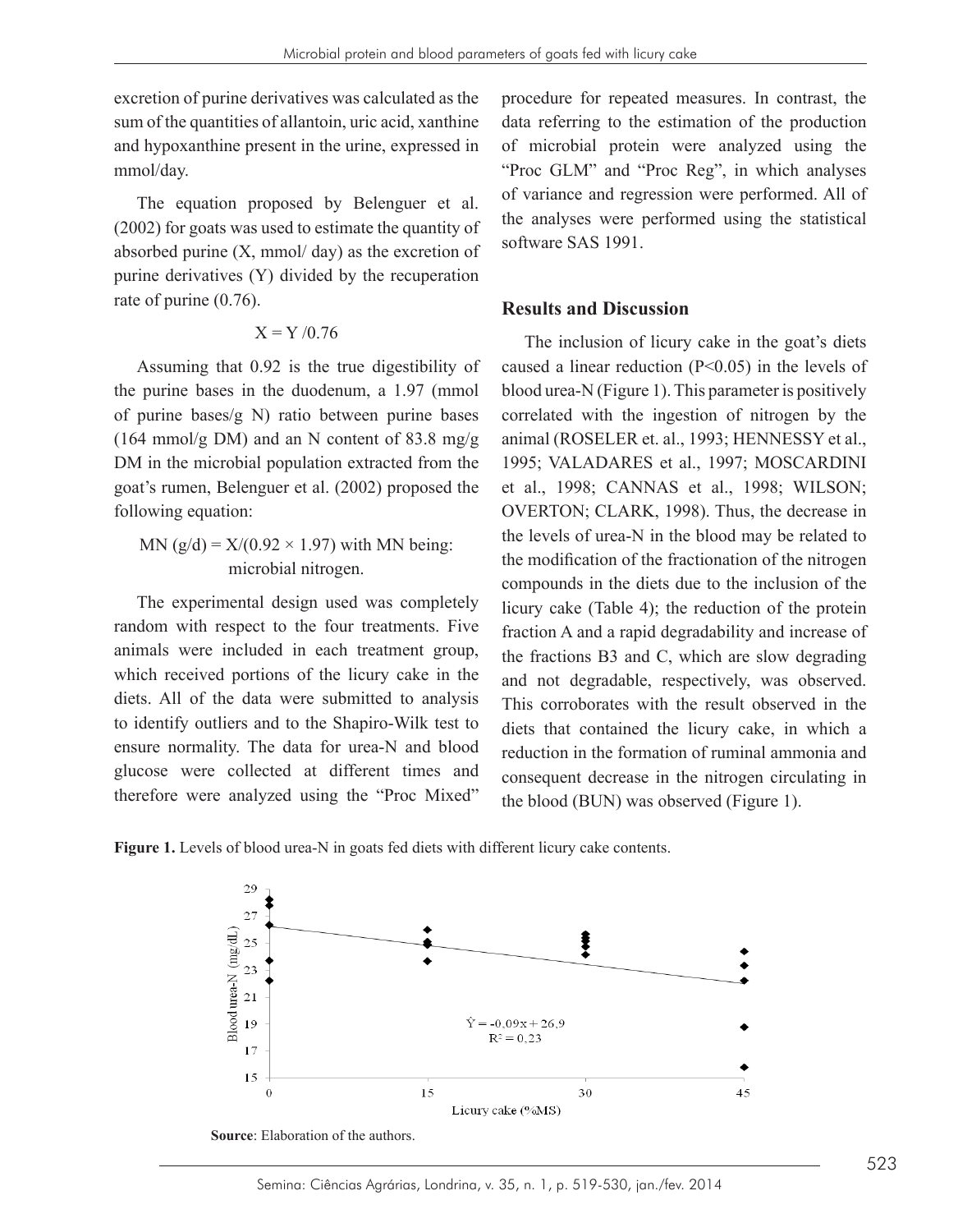excretion of purine derivatives was calculated as the sum of the quantities of allantoin, uric acid, xanthine and hypoxanthine present in the urine, expressed in mmol/day.

The equation proposed by Belenguer et al. (2002) for goats was used to estimate the quantity of absorbed purine  $(X, \text{mmol}/ \text{dav})$  as the excretion of purine derivatives (Y) divided by the recuperation rate of purine (0.76).

#### $X = Y / 0.76$

Assuming that 0.92 is the true digestibility of the purine bases in the duodenum, a 1.97 (mmol of purine bases/g N) ratio between purine bases (164 mmol/g DM) and an N content of 83.8 mg/g DM in the microbial population extracted from the goat's rumen, Belenguer et al. (2002) proposed the following equation:

MN ( $g/d$ ) = X/(0.92  $\times$  1.97) with MN being: microbial nitrogen.

The experimental design used was completely random with respect to the four treatments. Five animals were included in each treatment group, which received portions of the licury cake in the diets. All of the data were submitted to analysis to identify outliers and to the Shapiro-Wilk test to ensure normality. The data for urea-N and blood glucose were collected at different times and therefore were analyzed using the "Proc Mixed"

procedure for repeated measures. In contrast, the data referring to the estimation of the production of microbial protein were analyzed using the "Proc GLM" and "Proc Reg", in which analyses of variance and regression were performed. All of the analyses were performed using the statistical software SAS 1991.

#### **Results and Discussion**

The inclusion of licury cake in the goat's diets caused a linear reduction (P<0.05) in the levels of blood urea-N (Figure 1). This parameter is positively correlated with the ingestion of nitrogen by the animal (ROSELER et. al., 1993; HENNESSY et al., 1995; VALADARES et al., 1997; MOSCARDINI et al., 1998; CANNAS et al., 1998; WILSON; OVERTON; CLARK, 1998). Thus, the decrease in the levels of urea-N in the blood may be related to the modification of the fractionation of the nitrogen compounds in the diets due to the inclusion of the licury cake (Table 4); the reduction of the protein fraction A and a rapid degradability and increase of the fractions B3 and C, which are slow degrading and not degradable, respectively, was observed. This corroborates with the result observed in the diets that contained the licury cake, in which a reduction in the formation of ruminal ammonia and consequent decrease in the nitrogen circulating in the blood (BUN) was observed (Figure 1).



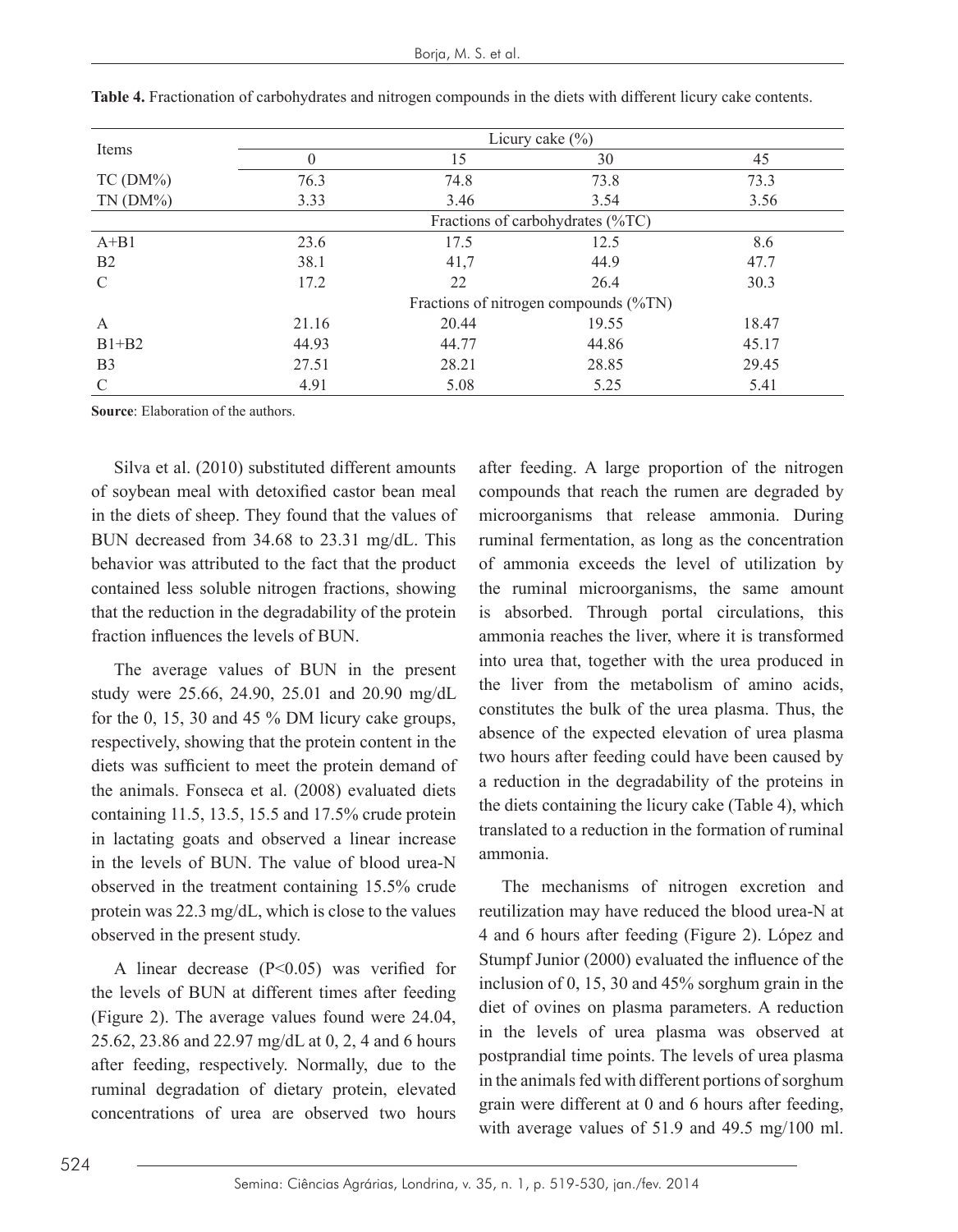| Items          |          |       | Licury cake $(\% )$                   |       |
|----------------|----------|-------|---------------------------------------|-------|
|                | $\Omega$ | 15    | 30                                    | 45    |
| $TC(DM\%)$     | 76.3     | 74.8  | 73.8                                  | 73.3  |
| $TN(DM\%)$     | 3.33     | 3.46  | 3.54                                  | 3.56  |
|                |          |       | Fractions of carbohydrates (%TC)      |       |
| $A + B1$       | 23.6     | 17.5  | 12.5                                  | 8.6   |
| B <sub>2</sub> | 38.1     | 41,7  | 44.9                                  | 47.7  |
| $\mathcal{C}$  | 17.2     | 22    | 26.4                                  | 30.3  |
|                |          |       | Fractions of nitrogen compounds (%TN) |       |
| A              | 21.16    | 20.44 | 19.55                                 | 18.47 |
| $B1+B2$        | 44.93    | 44.77 | 44.86                                 | 45.17 |
| B <sub>3</sub> | 27.51    | 28.21 | 28.85                                 | 29.45 |
| $\mathcal{C}$  | 4.91     | 5.08  | 5.25                                  | 5.41  |

| Table 4. Fractionation of carbohydrates and nitrogen compounds in the diets with different licury cake contents. |
|------------------------------------------------------------------------------------------------------------------|
|------------------------------------------------------------------------------------------------------------------|

**Source**: Elaboration of the authors.

Silva et al. (2010) substituted different amounts of soybean meal with detoxified castor bean meal in the diets of sheep. They found that the values of BUN decreased from 34.68 to 23.31 mg/dL. This behavior was attributed to the fact that the product contained less soluble nitrogen fractions, showing that the reduction in the degradability of the protein fraction influences the levels of BUN.

The average values of BUN in the present study were 25.66, 24.90, 25.01 and 20.90 mg/dL for the 0, 15, 30 and 45 % DM licury cake groups, respectively, showing that the protein content in the diets was sufficient to meet the protein demand of the animals. Fonseca et al. (2008) evaluated diets containing 11.5, 13.5, 15.5 and 17.5% crude protein in lactating goats and observed a linear increase in the levels of BUN. The value of blood urea-N observed in the treatment containing 15.5% crude protein was 22.3 mg/dL, which is close to the values observed in the present study.

A linear decrease  $(P<0.05)$  was verified for the levels of BUN at different times after feeding (Figure 2). The average values found were 24.04, 25.62, 23.86 and 22.97 mg/dL at 0, 2, 4 and 6 hours after feeding, respectively. Normally, due to the ruminal degradation of dietary protein, elevated concentrations of urea are observed two hours

after feeding. A large proportion of the nitrogen compounds that reach the rumen are degraded by microorganisms that release ammonia. During ruminal fermentation, as long as the concentration of ammonia exceeds the level of utilization by the ruminal microorganisms, the same amount is absorbed. Through portal circulations, this ammonia reaches the liver, where it is transformed into urea that, together with the urea produced in the liver from the metabolism of amino acids, constitutes the bulk of the urea plasma. Thus, the absence of the expected elevation of urea plasma two hours after feeding could have been caused by a reduction in the degradability of the proteins in the diets containing the licury cake (Table 4), which translated to a reduction in the formation of ruminal ammonia.

The mechanisms of nitrogen excretion and reutilization may have reduced the blood urea-N at 4 and 6 hours after feeding (Figure 2). López and Stumpf Junior (2000) evaluated the influence of the inclusion of 0, 15, 30 and 45% sorghum grain in the diet of ovines on plasma parameters. A reduction in the levels of urea plasma was observed at postprandial time points. The levels of urea plasma in the animals fed with different portions of sorghum grain were different at 0 and 6 hours after feeding, with average values of 51.9 and 49.5 mg/100 ml.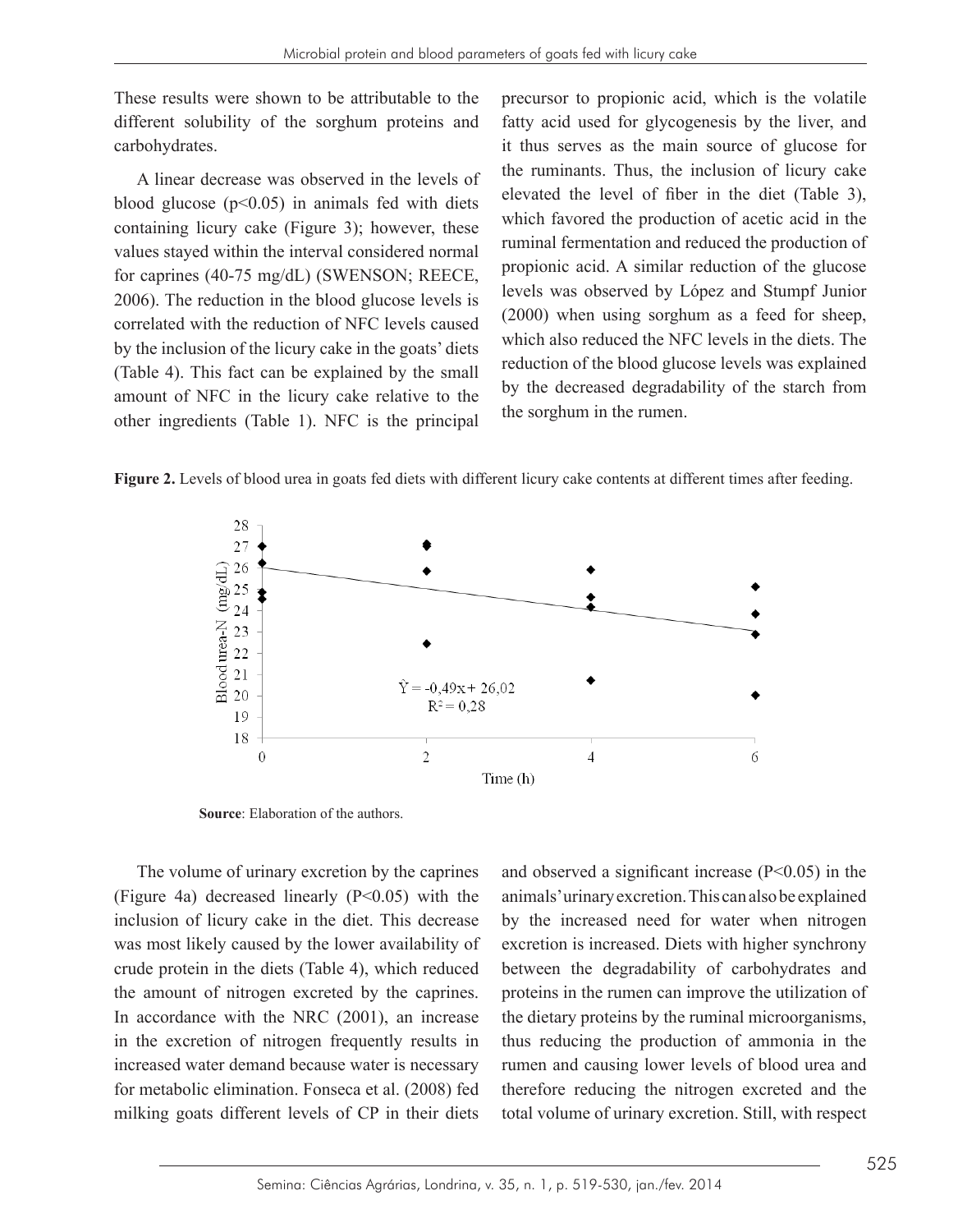These results were shown to be attributable to the different solubility of the sorghum proteins and carbohydrates.

A linear decrease was observed in the levels of blood glucose  $(p<0.05)$  in animals fed with diets for caprines (40-75 mg/dL) (SWENSON; REECE, 2006). The reduction in the blood glucose levels is correlated with the reduction of NFC levels caused (Table 4). This fact can be explained by the small amount of NFC in the licury cake relative to the other ingredients (Table 1). NFC is the principal the starch from the starch from the run the run the run the run the run the run the run the solution of the run the run the run the run the run the solution of the run the

 $\frac{1}{2}$  containing licury cake (Figure 3); however, these which is voled the production of acetic acid in the values stayed within the interval considered normal *the manimal rememants and reduced the production of* the change by the inclusion of the licury cake in the goats' diets which also reduced the NPC fevers in the diets. The These results were shown to be attributable to the precursor to propionic acid, which is the volatile fatty acid used for glycogenesis by the liver, and enterial solution, of the solgham proteins and and part ased for glyogenesis by the river, and carbohydrates.<br>it thus serves as the main source of glucose for  $\Lambda$  linear decrease was observed in the levels of the ruminants. Thus, the inclusion of licury cake blood glucose  $(n<0.05)$  in animals fed with diets elevated the level of fiber in the diet (Table 3), which favored the production of acetic acid in the ruminal fermentation and reduced the production of propionic acid. A similar reduction of the glucose For capilles (10.45 mg/dz) (5.6  $\mu$ 2005), NEECE, levels was observed by López and Stumpf Junior correlated with the reduction of NFC levels caused  $(2000)$  when using sorghum as a feed for sheep, which also reduced the NFC levels in the diets. The reduction of the blood glucose levels was explained (1able 4). This fact can be explained by the small<br>amount of NFC in the liqury cake relative to the by the decreased degradability of the starch from the sorghum in the rumen.

Figure 2. Levels of blood urea in goats fed diets with different licury cake contents at different times after feeding.



**Source**: Elaboration of the authors.

The volume of urinary excretion by the caprines (Figure 4a) decreased linearly  $(P<0.05)$  with the inclusion of licury cake in the diet. This decrease was most likely caused by the lower availability of crude protein in the diets (Table 4), which reduced the amount of nitrogen excreted by the caprines. In accordance with the NRC (2001), an increase in the excretion of nitrogen frequently results in increased water demand because water is necessary for metabolic elimination. Fonseca et al. (2008) fed milking goats different levels of CP in their diets

and observed a significant increase  $(P<0.05)$  in the animals' urinary excretion. This can also be explained by the increased need for water when nitrogen excretion is increased. Diets with higher synchrony between the degradability of carbohydrates and proteins in the rumen can improve the utilization of the dietary proteins by the ruminal microorganisms, thus reducing the production of ammonia in the rumen and causing lower levels of blood urea and therefore reducing the nitrogen excreted and the total volume of urinary excretion. Still, with respect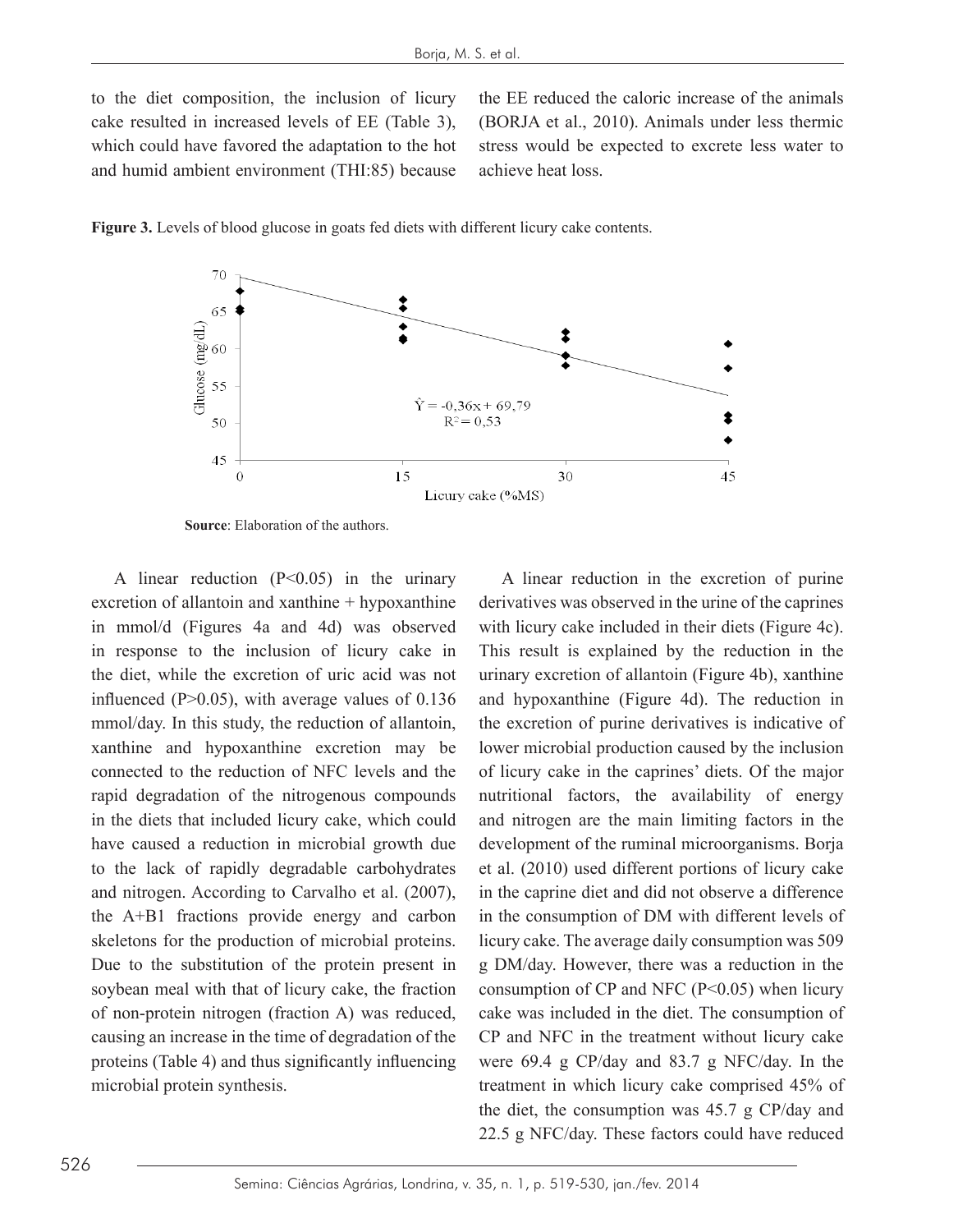to the diet composition, the inclusion of licury cake resulted in increased levels of EE (Table 3), (BORJA et al., 2010). Animals under less therm which could have favored the adaptation to the hot stress would be expected to excrete and humid ambient environment (THI:85) because to the diet composition, the inclusion of licury the EE reduced the caloric increase of the animals

(BORJA et al., 2010). Animals under less thermic stress would be expected to excrete less water to achieve heat loss.





**Source**: Elaboration of the authors. **Source**: Elaboration of the authors.

in mmol/d (Figures 4a and 4d) was observed with licury cake included in their diets (Figure 4d in response to the inclusion of licury cake in This result is explained by the reduction in the reduction of allantoin of allantoin may be connected to the reduction of NFC levels in the reduction of NFC levels in the reduction of  $\alpha$ mmol/day. In this study, the reduction of allantoin, the excretion of purine derivatives is indicative xanthine and hypoxanthine excretion may be lower microbial production caused by the inclusion connected to the reduction of NFC levels and the of licury cake in the caprines' diets. Of the maj the production of the margements compounds. Interaction measures, the availability of energy have caused a reduction in microbial growth due development of the ruminal microorganisms. Borja A linear reduction  $(P<0.05)$  in the urinary excretion of allantoin and xanthine + hypoxanthine the diet, while the excretion of uric acid was not influenced (P>0.05), with average values of 0.136 xanthine and hypoxanthine excretion may be rapid degradation of the nitrogenous compounds have caused a reduction in microbial growth due to the lack of rapidly degradable carbohydrates and nitrogen. According to Carvalho et al. (2007), the A+B1 fractions provide energy and carbon skeletons for the production of microbial proteins. Due to the substitution of the protein present in soybean meal with that of licury cake, the fraction of non-protein nitrogen (fraction A) was reduced, causing an increase in the time of degradation of the proteins (Table 4) and thus significantly influencing microbial protein synthesis.

etion of allantoin and xanthine + hypoxanthine derivatives was observed in the urine of the caprines A linear reduction in the excretion of purine with licury cake included in their diets (Figure 4c). This result is explained by the reduction in the urinary excretion of allantoin (Figure 4b), xanthine and hypoxanthine (Figure 4d). The reduction in the excretion of purine derivatives is indicative of of licury cake in the caprines' diets. Of the major nutritional factors, the availability of energy and nitrogen are the main limiting factors in the et al. (2010) used different portions of licury cake in the caprine diet and did not observe a difference in the consumption of DM with different levels of licury cake. The average daily consumption was 509 g DM/day. However, there was a reduction in the consumption of  $CP$  and NFC ( $P \le 0.05$ ) when licury cake was included in the diet. The consumption of CP and NFC in the treatment without licury cake were 69.4 g CP/day and 83.7 g NFC/day. In the treatment in which licury cake comprised 45% of the diet, the consumption was 45.7 g CP/day and 22.5 g NFC/day. These factors could have reduced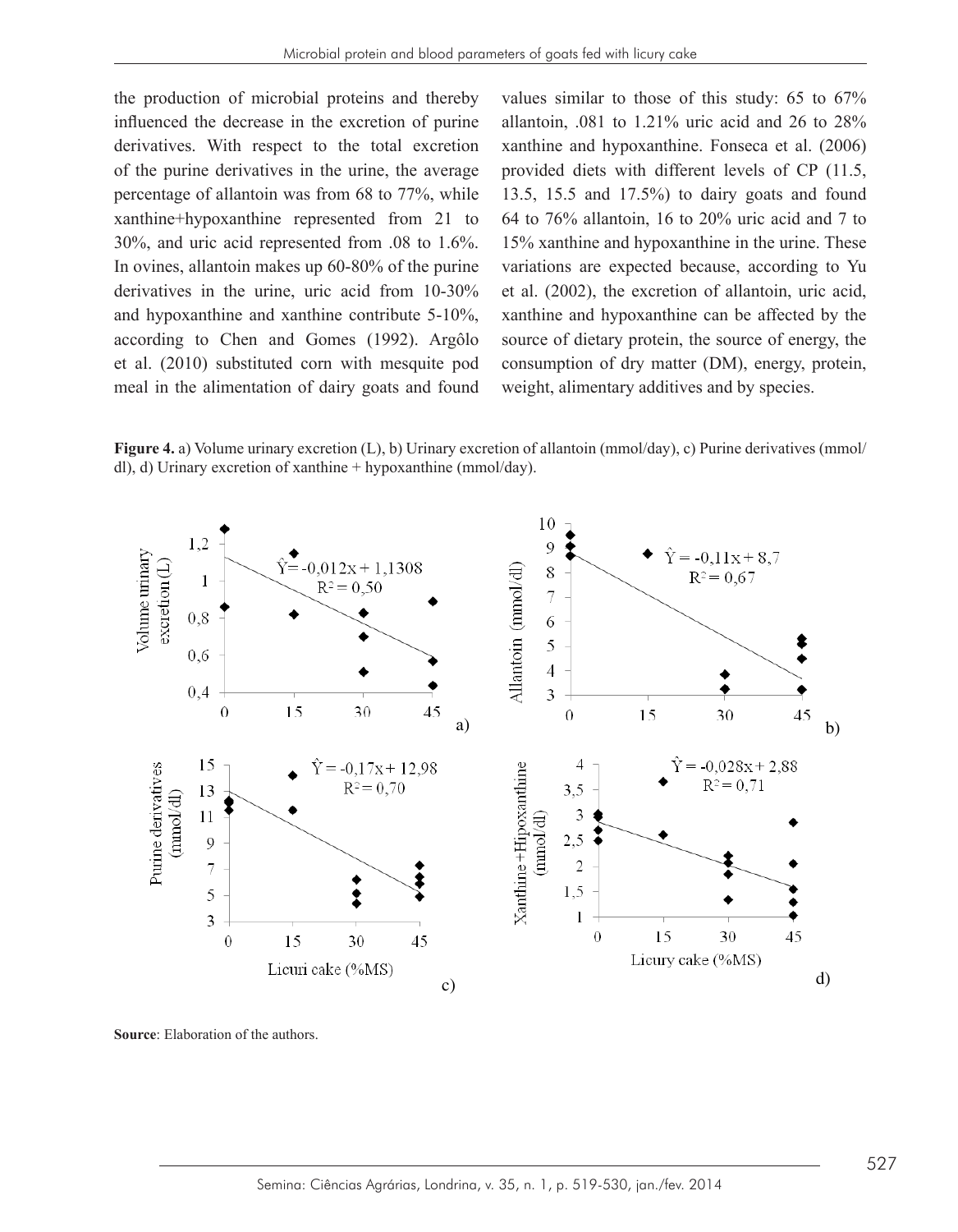the production of microbial proteins and thereby influenced the decrease in the excretion of purine derivatives. With respect to the total excretion of the purine derivatives in the urine, the average percentage of allantoin was from 68 to 77%, while xanthine+hypoxanthine represented from 21 to 30%, and uric acid represented from .08 to 1.6%. In ovines, allantoin makes up 60-80% of the purine derivatives in the urine, uric acid from 10-30% and hypoxanthine and xanthine contribute 5-10%, according to Chen and Gomes (1992). Argôlo et al. (2010) substituted corn with mesquite pod meal in the alimentation of dairy goats and found weight, alimentary additives and by species.

values similar to those of this study: 65 to 67% allantoin,  $.081$  to  $1.21\%$  uric acid and 26 to  $28\%$ xanthine and hypoxanthine. Fonseca et al. (2006) provided diets with different levels of CP (11.5, 13.5, 15.5 and 17.5%) to dairy goats and found 64 to 76% allantoin, 16 to 20% uric acid and 7 to 15% xanthine and hypoxanthine in the urine. These variations are expected because, according to Yu et al. (2002), the excretion of allantoin, uric acid, xanthine and hypoxanthine can be affected by the source of dietary protein, the source of energy, the consumption of dry matter (DM), energy, protein, weight, alimentary additives and by species.

**Figure 4.** a) Volume urinary excretion (L), b) Urinary excretion of allantoin (mmol/day), c) Purine derivatives (mmol/<br> $\frac{1}{2}$ ). A Hylange consider a formulation demonstration (mmol/day). dl), d) Urinary excretion of xanthine + hypoxanthine (mmol/day).



**Source**: Elaboration of the authors. **Source**: Elaboration of the authors.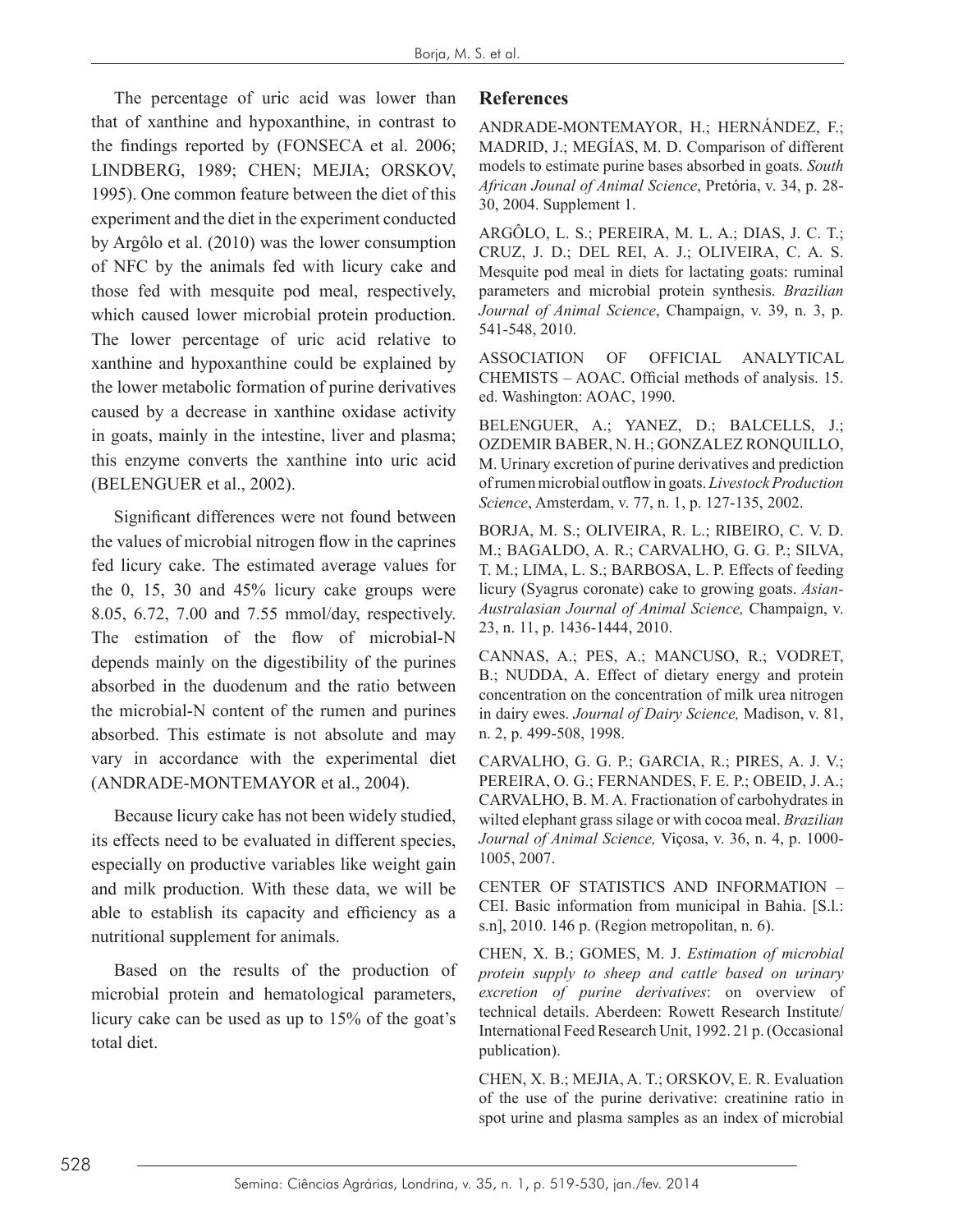The percentage of uric acid was lower than that of xanthine and hypoxanthine, in contrast to the findings reported by (FONSECA et al. 2006; LINDBERG, 1989; CHEN; MEJIA; ORSKOV, 1995). One common feature between the diet of this experiment and the diet in the experiment conducted by Argôlo et al. (2010) was the lower consumption of NFC by the animals fed with licury cake and those fed with mesquite pod meal, respectively, which caused lower microbial protein production. The lower percentage of uric acid relative to xanthine and hypoxanthine could be explained by the lower metabolic formation of purine derivatives caused by a decrease in xanthine oxidase activity in goats, mainly in the intestine, liver and plasma; this enzyme converts the xanthine into uric acid (BELENGUER et al., 2002).

Significant differences were not found between the values of microbial nitrogen flow in the caprines fed licury cake. The estimated average values for the 0, 15, 30 and 45% licury cake groups were 8.05, 6.72, 7.00 and 7.55 mmol/day, respectively. The estimation of the flow of microbial-N depends mainly on the digestibility of the purines absorbed in the duodenum and the ratio between the microbial-N content of the rumen and purines absorbed. This estimate is not absolute and may vary in accordance with the experimental diet (ANDRADE-MONTEMAYOR et al., 2004).

Because licury cake has not been widely studied, its effects need to be evaluated in different species, especially on productive variables like weight gain and milk production. With these data, we will be able to establish its capacity and efficiency as a nutritional supplement for animals.

Based on the results of the production of microbial protein and hematological parameters, licury cake can be used as up to 15% of the goat's total diet.

### **References**

ANDRADE-MONTEMAYOR, H.; HERNÁNDEZ, F.; MADRID, J.; MEGÍAS, M. D. Comparison of different models to estimate purine bases absorbed in goats. *South African Jounal of Animal Science*, Pretória, v. 34, p. 28- 30, 2004. Supplement 1.

ARGÔLO, L. S.; PEREIRA, M. L. A.; DIAS, J. C. T.; CRUZ, J. D.; DEL REI, A. J.; OLIVEIRA, C. A. S. Mesquite pod meal in diets for lactating goats: ruminal parameters and microbial protein synthesis. *Brazilian Journal of Animal Science*, Champaign, v. 39, n. 3, p. 541-548, 2010.

ASSOCIATION OF OFFICIAL ANALYTICAL CHEMISTS – AOAC. Official methods of analysis. 15. ed. Washington: AOAC, 1990.

BELENGUER, A.; YANEZ, D.; BALCELLS, J.; OZDEMIR BABER, N. H.; GONZALEZ RONQUILLO, M. Urinary excretion of purine derivatives and prediction of rumen microbial outflow in goats. *Livestock Production Science*, Amsterdam, v. 77, n. 1, p. 127-135, 2002.

BORJA, M. S.; OLIVEIRA, R. L.; RIBEIRO, C. V. D. M.; BAGALDO, A. R.; CARVALHO, G. G. P.; SILVA, T. M.; LIMA, L. S.; BARBOSA, L. P. Effects of feeding licury (Syagrus coronate) cake to growing goats. *Asian-Australasian Journal of Animal Science,* Champaign, v. 23, n. 11, p. 1436-1444, 2010.

CANNAS, A.; PES, A.; MANCUSO, R.; VODRET, B.; NUDDA, A. Effect of dietary energy and protein concentration on the concentration of milk urea nitrogen in dairy ewes. *Journal of Dairy Science,* Madison, v. 81, n. 2, p. 499-508, 1998.

CARVALHO, G. G. P.; GARCIA, R.; PIRES, A. J. V.; PEREIRA, O. G.; FERNANDES, F. E. P.; OBEID, J. A.; CARVALHO, B. M. A. Fractionation of carbohydrates in wilted elephant grass silage or with cocoa meal. *Brazilian Journal of Animal Science,* Viçosa, v. 36, n. 4, p. 1000- 1005, 2007.

CENTER OF STATISTICS AND INFORMATION – CEI. Basic information from municipal in Bahia. [S.l.: s.n], 2010. 146 p. (Region metropolitan, n. 6).

CHEN, X. B.; GOMES, M. J. *Estimation of microbial protein supply to sheep and cattle based on urinary excretion of purine derivatives*: on overview of technical details. Aberdeen: Rowett Research Institute/ International Feed Research Unit, 1992. 21 p. (Occasional publication).

CHEN, X. B.; MEJIA, A. T.; ORSKOV, E. R. Evaluation of the use of the purine derivative: creatinine ratio in spot urine and plasma samples as an index of microbial